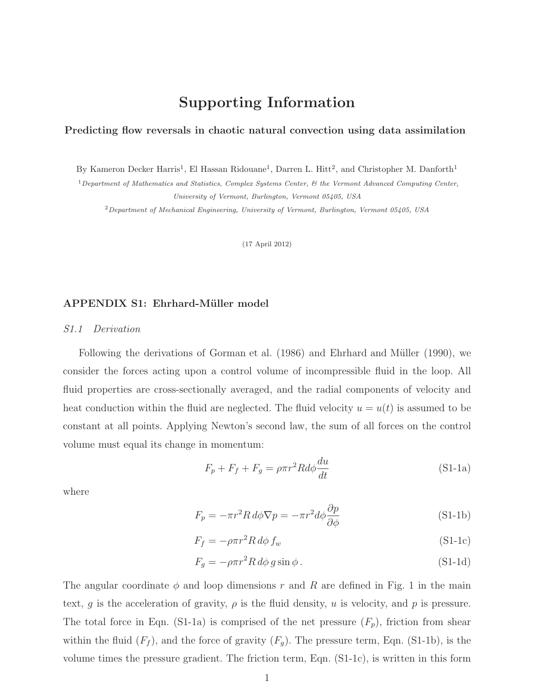# Supporting Information

### Predicting flow reversals in chaotic natural convection using data assimilation

By Kameron Decker Harris<sup>1</sup>, El Hassan Ridouane<sup>1</sup>, Darren L. Hitt<sup>2</sup>, and Christopher M. Danforth<sup>1</sup>

 $1$ Department of Mathematics and Statistics, Complex Systems Center,  $\&$  the Vermont Advanced Computing Center, University of Vermont, Burlington, Vermont 05405, USA

<sup>2</sup>Department of Mechanical Engineering, University of Vermont, Burlington, Vermont 05405, USA

(17 April 2012)

# APPENDIX S1: Ehrhard-Müller model

#### S1.1 Derivation

Following the derivations of [Gorman et al.](#page-14-0) [\(1986\)](#page-14-0) and Ehrhard and Müller [\(1990](#page-14-1)), we consider the forces acting upon a control volume of incompressible fluid in the loop. All fluid properties are cross-sectionally averaged, and the radial components of velocity and heat conduction within the fluid are neglected. The fluid velocity  $u = u(t)$  is assumed to be constant at all points. Applying Newton's second law, the sum of all forces on the control volume must equal its change in momentum:

<span id="page-0-3"></span><span id="page-0-2"></span><span id="page-0-1"></span><span id="page-0-0"></span>
$$
F_p + F_f + F_g = \rho \pi r^2 R d\phi \frac{du}{dt}
$$
 (S1-1a)

where

$$
F_p = -\pi r^2 R \, d\phi \nabla p = -\pi r^2 d\phi \frac{\partial p}{\partial \phi} \tag{S1-1b}
$$

$$
F_f = -\rho \pi r^2 R \, d\phi \, f_w \tag{S1-1c}
$$

<span id="page-0-4"></span>
$$
F_g = -\rho \pi r^2 R \, d\phi \, g \sin \phi \,. \tag{S1-1d}
$$

The angular coordinate  $\phi$  and loop dimensions r and R are defined in Fig. 1 in the main text, g is the acceleration of gravity,  $\rho$  is the fluid density, u is velocity, and p is pressure. The total force in Eqn. [\(S1-1a\)](#page-0-0) is comprised of the net pressure  $(F_p)$ , friction from shear within the fluid  $(F_f)$ , and the force of gravity  $(F_q)$ . The pressure term, Eqn. [\(S1-1b\)](#page-0-1), is the volume times the pressure gradient. The friction term, Eqn. [\(S1-1c\)](#page-0-2), is written in this form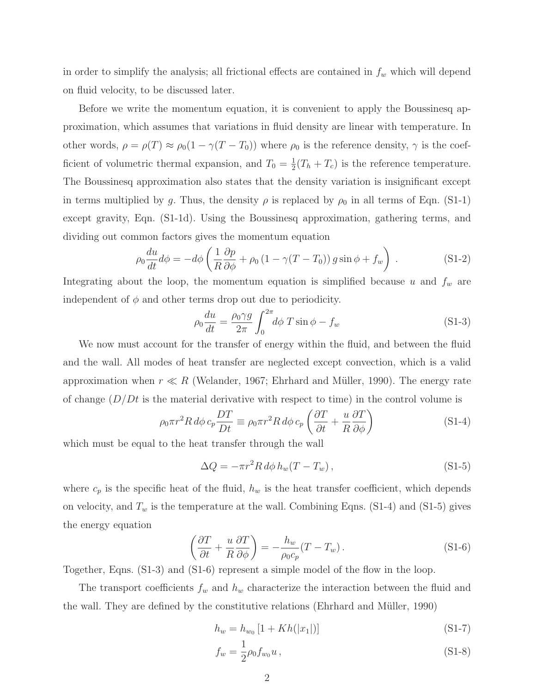in order to simplify the analysis; all frictional effects are contained in  $f_w$  which will depend on fluid velocity, to be discussed later.

Before we write the momentum equation, it is convenient to apply the Boussinesq approximation, which assumes that variations in fluid density are linear with temperature. In other words,  $\rho = \rho(T) \approx \rho_0(1 - \gamma(T - T_0))$  where  $\rho_0$  is the reference density,  $\gamma$  is the coefficient of volumetric thermal expansion, and  $T_0 = \frac{1}{2}(T_h + T_c)$  is the reference temperature. The Boussinesq approximation also states that the density variation is insignificant except in terms multiplied by g. Thus, the density  $\rho$  is replaced by  $\rho_0$  in all terms of Eqn. [\(S1-1\)](#page-0-3) except gravity, Eqn. [\(S1-1d\)](#page-0-4). Using the Boussinesq approximation, gathering terms, and dividing out common factors gives the momentum equation

$$
\rho_0 \frac{du}{dt} d\phi = -d\phi \left( \frac{1}{R} \frac{\partial p}{\partial \phi} + \rho_0 \left( 1 - \gamma (T - T_0) \right) g \sin \phi + f_w \right) . \tag{S1-2}
$$

Integrating about the loop, the momentum equation is simplified because u and  $f_w$  are independent of  $\phi$  and other terms drop out due to periodicity.

<span id="page-1-2"></span>
$$
\rho_0 \frac{du}{dt} = \frac{\rho_0 \gamma g}{2\pi} \int_0^{2\pi} d\phi \ T \sin \phi - f_w \tag{S1-3}
$$

We now must account for the transfer of energy within the fluid, and between the fluid and the wall. All modes of heat transfer are neglected except convection, which is a valid approximation when  $r \ll R$  [\(Welander](#page-14-2), [1967](#page-14-2); Ehrhard and Müller, [1990\)](#page-14-1). The energy rate of change  $(D/Dt)$  is the material derivative with respect to time) in the control volume is

$$
\rho_0 \pi r^2 R \, d\phi \, c_p \frac{DT}{Dt} \equiv \rho_0 \pi r^2 R \, d\phi \, c_p \left(\frac{\partial T}{\partial t} + \frac{u}{R} \frac{\partial T}{\partial \phi}\right) \tag{S1-4}
$$

which must be equal to the heat transfer through the wall

<span id="page-1-1"></span><span id="page-1-0"></span>
$$
\Delta Q = -\pi r^2 R d\phi h_w (T - T_w), \qquad (S1-5)
$$

where  $c_p$  is the specific heat of the fluid,  $h_w$  is the heat transfer coefficient, which depends on velocity, and  $T_w$  is the temperature at the wall. Combining Eqns. [\(S1-4\)](#page-1-0) and [\(S1-5\)](#page-1-1) gives the energy equation

$$
\left(\frac{\partial T}{\partial t} + \frac{u}{R}\frac{\partial T}{\partial \phi}\right) = -\frac{h_w}{\rho_0 c_p} (T - T_w). \tag{S1-6}
$$

Together, Eqns. [\(S1-3\)](#page-1-2) and [\(S1-6\)](#page-1-3) represent a simple model of the flow in the loop.

The transport coefficients  $f_w$  and  $h_w$  characterize the interaction between the fluid and the wall. They are defined by the constitutive relations [\(Ehrhard and M¨uller, 1990](#page-14-1))

<span id="page-1-4"></span><span id="page-1-3"></span>
$$
h_w = h_{w_0} \left[ 1 + Kh(|x_1|) \right] \tag{S1-7}
$$

<span id="page-1-5"></span>
$$
f_w = \frac{1}{2}\rho_0 f_{w_0} u \,, \tag{S1-8}
$$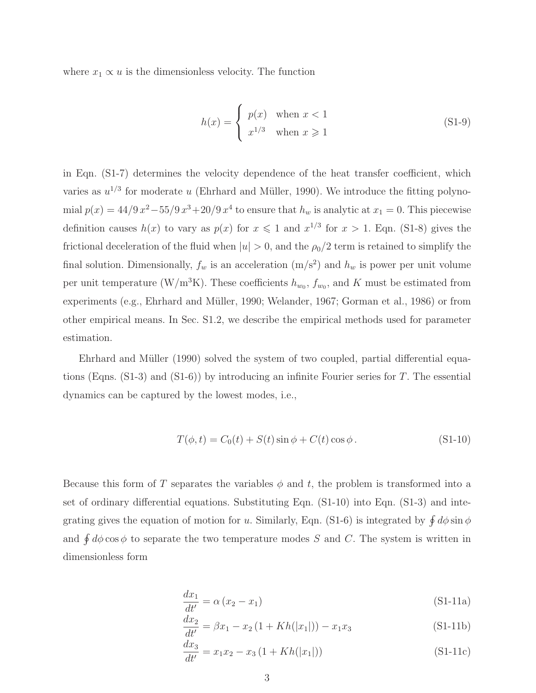where  $x_1 \propto u$  is the dimensionless velocity. The function

$$
h(x) = \begin{cases} p(x) & \text{when } x < 1\\ x^{1/3} & \text{when } x \ge 1 \end{cases}
$$
 (S1-9)

in Eqn. [\(S1-7\)](#page-1-4) determines the velocity dependence of the heat transfer coefficient, which varies as  $u^{1/3}$  for moderate u (Ehrhard and Müller, [1990\)](#page-14-1). We introduce the fitting polynomial  $p(x) = 44/9 x^2 - 55/9 x^3 + 20/9 x^4$  to ensure that  $h_w$  is analytic at  $x_1 = 0$ . This piecewise definition causes  $h(x)$  to vary as  $p(x)$  for  $x \le 1$  and  $x^{1/3}$  for  $x > 1$ . Eqn. [\(S1-8\)](#page-1-5) gives the frictional deceleration of the fluid when  $|u| > 0$ , and the  $\rho_0/2$  term is retained to simplify the final solution. Dimensionally,  $f_w$  is an acceleration  $(m/s^2)$  and  $h_w$  is power per unit volume per unit temperature (W/m<sup>3</sup>K). These coefficients  $h_{w_0}$ ,  $f_{w_0}$ , and K must be estimated from experiments (e.g., Ehrhard and Müller, 1990; [Welander, 1967;](#page-14-2) [Gorman et al.](#page-14-0), [1986](#page-14-0)) or from other empirical means. In Sec. [S1.2,](#page-3-0) we describe the empirical methods used for parameter estimation.

Ehrhard and Müller [\(1990\)](#page-14-1) solved the system of two coupled, partial differential equations (Eqns.  $(S1-3)$ ) and  $(S1-6)$ ) by introducing an infinite Fourier series for T. The essential dynamics can be captured by the lowest modes, i.e.,

<span id="page-2-0"></span>
$$
T(\phi, t) = C_0(t) + S(t) \sin \phi + C(t) \cos \phi.
$$
 (S1-10)

Because this form of T separates the variables  $\phi$  and t, the problem is transformed into a set of ordinary differential equations. Substituting Eqn. [\(S1-10\)](#page-2-0) into Eqn. [\(S1-3\)](#page-1-2) and inte-grating gives the equation of motion for u. Similarly, Eqn. [\(S1-6\)](#page-1-3) is integrated by  $\oint d\phi \sin \phi$ and  $\oint d\phi \cos \phi$  to separate the two temperature modes S and C. The system is written in dimensionless form

<span id="page-2-1"></span>
$$
\frac{dx_1}{dt'} = \alpha (x_2 - x_1) \tag{S1-11a}
$$

$$
\frac{dx_2}{dt'} = \beta x_1 - x_2 \left( 1 + Kh(|x_1|) \right) - x_1 x_3 \tag{S1-11b}
$$

$$
\frac{dx_3}{dt'} = x_1 x_2 - x_3 (1 + Kh(|x_1|))
$$
\n(S1-11c)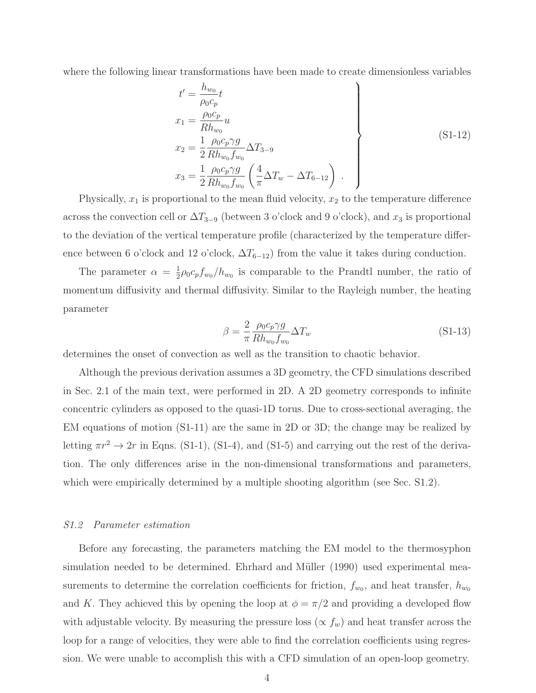where the following linear transformations have been made to create dimensionless variables

$$
t' = \frac{h_{wo}}{\rho_0 c_p} t
$$
  
\n
$$
x_1 = \frac{\rho_0 c_p}{R h_{w_0}} u
$$
  
\n
$$
x_2 = \frac{1}{2} \frac{\rho_0 c_p \gamma g}{R h_{w_0} f_{w_0}} \Delta T_{3-9}
$$
  
\n
$$
x_3 = \frac{1}{2} \frac{\rho_0 c_p \gamma g}{R h_{w_0} f_{w_0}} \left(\frac{4}{\pi} \Delta T_w - \Delta T_{6-12}\right).
$$
 (S1-12)

Physically,  $x_1$  is proportional to the mean fluid velocity,  $x_2$  to the temperature difference across the convection cell or  $\Delta T_{3-9}$  (between 3 o'clock and 9 o'clock), and  $x_3$  is proportional to the deviation of the vertical temperature profile (characterized by the temperature difference between 6 o'clock and 12 o'clock,  $\Delta T_{6-12}$ ) from the value it takes during conduction.

The parameter  $\alpha = \frac{1}{2}\rho_0 c_p f_{w_0}/h_{w_0}$  is comparable to the Prandtl number, the ratio of momentum diffusivity and thermal diffusivity. Similar to the Rayleigh number, the heating parameter

$$
\beta = \frac{2}{\pi} \frac{\rho_0 c_p \gamma g}{R h_{w_0} f_{w_0}} \Delta T_w \tag{S1-13}
$$

determines the onset of convection as well as the transition to chaotic behavior.

Although the previous derivation assumes a 3D geometry, the CFD simulations described in Sec. 2.1 of the main text, were performed in 2D. A 2D geometry corresponds to infinite concentric cylinders as opposed to the quasi-1D torus. Due to cross-sectional averaging, the EM equations of motion [\(S1-11\)](#page-2-1) are the same in 2D or 3D; the change may be realized by letting  $\pi r^2 \to 2r$  in Eqns. [\(S1-1\)](#page-0-3), [\(S1-4\)](#page-1-0), and [\(S1-5\)](#page-1-1) and carrying out the rest of the derivation. The only differences arise in the non-dimensional transformations and parameters, which were empirically determined by a multiple shooting algorithm (see Sec. [S1.2\)](#page-3-0).

#### <span id="page-3-0"></span>S1.2 Parameter estimation

Before any forecasting, the parameters matching the EM model to the thermosyphon simulation needed to be determined. Ehrhard and Müller [\(1990\)](#page-14-1) used experimental measurements to determine the correlation coefficients for friction,  $f_{w_0}$ , and heat transfer,  $h_{w_0}$ and K. They achieved this by opening the loop at  $\phi = \pi/2$  and providing a developed flow with adjustable velocity. By measuring the pressure loss ( $\propto f_w$ ) and heat transfer across the loop for a range of velocities, they were able to find the correlation coefficients using regression. We were unable to accomplish this with a CFD simulation of an open-loop geometry.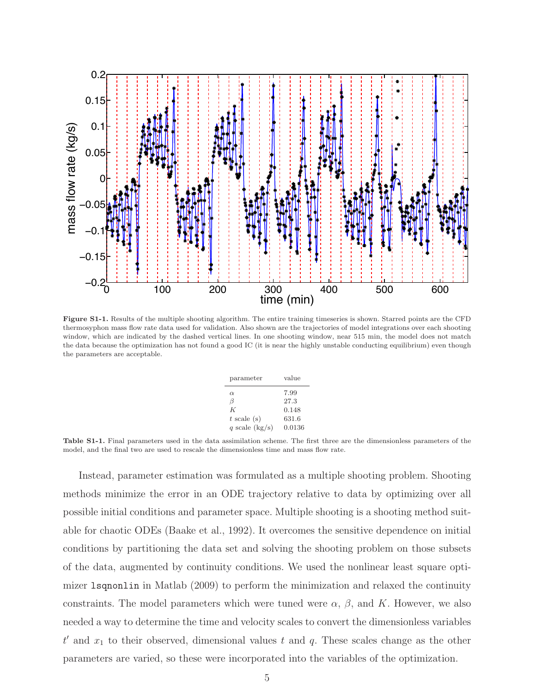<span id="page-4-0"></span>

<span id="page-4-1"></span>Figure S1-1. Results of the multiple shooting algorithm. The entire training timeseries is shown. Starred points are the CFD thermosyphon mass flow rate data used for validation. Also shown are the trajectories of model integrations over each shooting window, which are indicated by the dashed vertical lines. In one shooting window, near 515 min, the model does not match the data because the optimization has not found a good IC (it is near the highly unstable conducting equilibrium) even though the parameters are acceptable.

| parameter                                               | value                                    |  |  |
|---------------------------------------------------------|------------------------------------------|--|--|
| $\alpha$<br>ß<br>K<br>$t$ scale (s)<br>q scale $(kg/s)$ | 7.99<br>27.3<br>0.148<br>631.6<br>0.0136 |  |  |
|                                                         |                                          |  |  |

Table S1-1. Final parameters used in the data assimilation scheme. The first three are the dimensionless parameters of the model, and the final two are used to rescale the dimensionless time and mass flow rate.

Instead, parameter estimation was formulated as a multiple shooting problem. Shooting methods minimize the error in an ODE trajectory relative to data by optimizing over all possible initial conditions and parameter space. Multiple shooting is a shooting method suitable for chaotic ODEs [\(Baake et al., 1992\)](#page-14-3). It overcomes the sensitive dependence on initial conditions by partitioning the data set and solving the shooting problem on those subsets of the data, augmented by continuity conditions. We used the nonlinear least square optimizer lsqnonlin in [Matlab](#page-14-4) [\(2009](#page-14-4)) to perform the minimization and relaxed the continuity constraints. The model parameters which were tuned were  $\alpha$ ,  $\beta$ , and K. However, we also needed a way to determine the time and velocity scales to convert the dimensionless variables  $t'$  and  $x_1$  to their observed, dimensional values t and q. These scales change as the other parameters are varied, so these were incorporated into the variables of the optimization.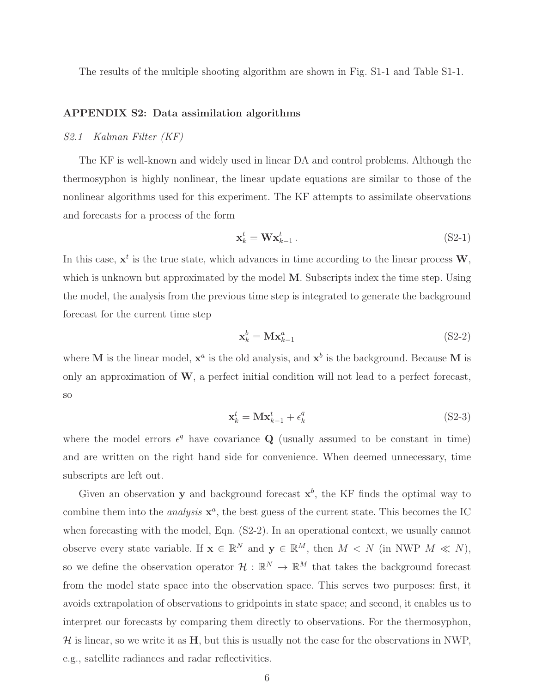The results of the multiple shooting algorithm are shown in Fig. [S1-1](#page-4-0) and Table [S1-1.](#page-4-1)

# APPENDIX S2: Data assimilation algorithms

#### S2.1 Kalman Filter (KF)

The KF is well-known and widely used in linear DA and control problems. Although the thermosyphon is highly nonlinear, the linear update equations are similar to those of the nonlinear algorithms used for this experiment. The KF attempts to assimilate observations and forecasts for a process of the form

$$
\mathbf{x}_k^t = \mathbf{W} \mathbf{x}_{k-1}^t \,. \tag{S2-1}
$$

In this case,  $x^t$  is the true state, which advances in time according to the linear process  $W$ , which is unknown but approximated by the model M. Subscripts index the time step. Using the model, the analysis from the previous time step is integrated to generate the background forecast for the current time step

<span id="page-5-0"></span>
$$
\mathbf{x}_k^b = \mathbf{M} \mathbf{x}_{k-1}^a \tag{S2-2}
$$

where M is the linear model,  $x^a$  is the old analysis, and  $x^b$  is the background. Because M is only an approximation of  $W$ , a perfect initial condition will not lead to a perfect forecast, so

$$
\mathbf{x}_k^t = \mathbf{M}\mathbf{x}_{k-1}^t + \epsilon_k^q \tag{S2-3}
$$

where the model errors  $\epsilon^q$  have covariance **Q** (usually assumed to be constant in time) and are written on the right hand side for convenience. When deemed unnecessary, time subscripts are left out.

Given an observation **y** and background forecast  $x^b$ , the KF finds the optimal way to combine them into the *analysis*  $x^a$ , the best guess of the current state. This becomes the IC when forecasting with the model, Eqn.  $(S2-2)$ . In an operational context, we usually cannot observe every state variable. If  $\mathbf{x} \in \mathbb{R}^N$  and  $\mathbf{y} \in \mathbb{R}^M$ , then  $M \langle N \rangle$  (in NWP  $M \langle N \rangle$ ), so we define the observation operator  $\mathcal{H}: \mathbb{R}^N \to \mathbb{R}^M$  that takes the background forecast from the model state space into the observation space. This serves two purposes: first, it avoids extrapolation of observations to gridpoints in state space; and second, it enables us to interpret our forecasts by comparing them directly to observations. For the thermosyphon,  $H$  is linear, so we write it as  $H$ , but this is usually not the case for the observations in NWP, e.g., satellite radiances and radar reflectivities.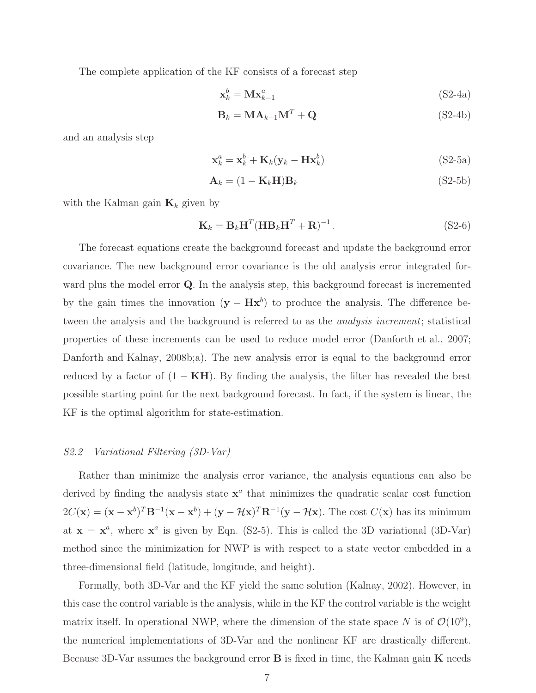The complete application of the KF consists of a forecast step

<span id="page-6-1"></span>
$$
\mathbf{x}_k^b = \mathbf{M} \mathbf{x}_{k-1}^a \tag{S2-4a}
$$

<span id="page-6-0"></span>
$$
\mathbf{B}_k = \mathbf{M}\mathbf{A}_{k-1}\mathbf{M}^T + \mathbf{Q} \tag{S2-4b}
$$

and an analysis step

<span id="page-6-3"></span>
$$
\mathbf{x}_{k}^{a} = \mathbf{x}_{k}^{b} + \mathbf{K}_{k}(\mathbf{y}_{k} - \mathbf{H}\mathbf{x}_{k}^{b})
$$
 (S2-5a)

<span id="page-6-2"></span>
$$
\mathbf{A}_k = (1 - \mathbf{K}_k \mathbf{H}) \mathbf{B}_k \tag{S2-5b}
$$

with the Kalman gain  $\mathbf{K}_k$  given by

$$
\mathbf{K}_k = \mathbf{B}_k \mathbf{H}^T (\mathbf{H} \mathbf{B}_k \mathbf{H}^T + \mathbf{R})^{-1} \,. \tag{S2-6}
$$

The forecast equations create the background forecast and update the background error covariance. The new background error covariance is the old analysis error integrated forward plus the model error **Q**. In the analysis step, this background forecast is incremented by the gain times the innovation  $(y - Hx^b)$  to produce the analysis. The difference between the analysis and the background is referred to as the analysis increment; statistical properties of these increments can be used to reduce model error [\(Danforth et al.](#page-14-5), [2007;](#page-14-5) [Danforth and Kalnay](#page-14-6), [2008b](#page-14-6)[;a\)](#page-14-7). The new analysis error is equal to the background error reduced by a factor of  $(1 - KH)$ . By finding the analysis, the filter has revealed the best possible starting point for the next background forecast. In fact, if the system is linear, the KF is the optimal algorithm for state-estimation.

# S2.2 Variational Filtering (3D-Var)

Rather than minimize the analysis error variance, the analysis equations can also be derived by finding the analysis state  $x^a$  that minimizes the quadratic scalar cost function  $2C(\mathbf{x}) = (\mathbf{x} - \mathbf{x}^b)^T \mathbf{B}^{-1}(\mathbf{x} - \mathbf{x}^b) + (\mathbf{y} - \mathcal{H}\mathbf{x})^T \mathbf{R}^{-1}(\mathbf{y} - \mathcal{H}\mathbf{x})$ . The cost  $C(\mathbf{x})$  has its minimum at  $x = x^a$ , where  $x^a$  is given by Eqn. [\(S2-5\)](#page-6-0). This is called the 3D variational (3D-Var) method since the minimization for NWP is with respect to a state vector embedded in a three-dimensional field (latitude, longitude, and height).

Formally, both 3D-Var and the KF yield the same solution [\(Kalnay, 2002](#page-14-8)). However, in this case the control variable is the analysis, while in the KF the control variable is the weight matrix itself. In operational NWP, where the dimension of the state space N is of  $\mathcal{O}(10^9)$ , the numerical implementations of 3D-Var and the nonlinear KF are drastically different. Because 3D-Var assumes the background error  $\bf{B}$  is fixed in time, the Kalman gain  $\bf{K}$  needs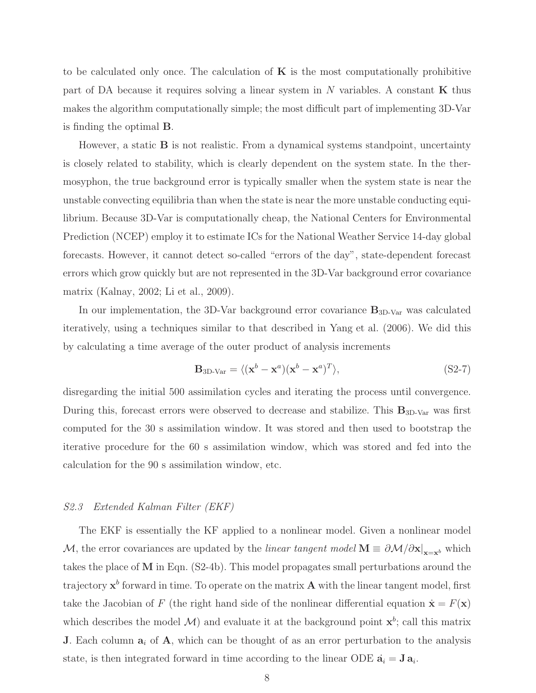to be calculated only once. The calculation of  $\bf{K}$  is the most computationally prohibitive part of DA because it requires solving a linear system in  $N$  variables. A constant  $\bf{K}$  thus makes the algorithm computationally simple; the most difficult part of implementing 3D-Var is finding the optimal B.

However, a static  $\bf{B}$  is not realistic. From a dynamical systems standpoint, uncertainty is closely related to stability, which is clearly dependent on the system state. In the thermosyphon, the true background error is typically smaller when the system state is near the unstable convecting equilibria than when the state is near the more unstable conducting equilibrium. Because 3D-Var is computationally cheap, the National Centers for Environmental Prediction (NCEP) employ it to estimate ICs for the National Weather Service 14-day global forecasts. However, it cannot detect so-called "errors of the day", state-dependent forecast errors which grow quickly but are not represented in the 3D-Var background error covariance matrix [\(Kalnay](#page-14-8), [2002;](#page-14-8) [Li et al.](#page-14-9), [2009\)](#page-14-9).

In our implementation, the 3D-Var background error covariance  $B_{3D-Var}$  was calculated iteratively, using a techniques similar to that described in [Yang et al.](#page-14-10) [\(2006](#page-14-10)). We did this by calculating a time average of the outer product of analysis increments

$$
\mathbf{B}_{3D\text{-Var}} = \langle (\mathbf{x}^b - \mathbf{x}^a)(\mathbf{x}^b - \mathbf{x}^a)^T \rangle, \tag{S2-7}
$$

disregarding the initial 500 assimilation cycles and iterating the process until convergence. During this, forecast errors were observed to decrease and stabilize. This  $\mathbf{B}_{\rm 3D-Var}$  was first computed for the 30 s assimilation window. It was stored and then used to bootstrap the iterative procedure for the 60 s assimilation window, which was stored and fed into the calculation for the 90 s assimilation window, etc.

### S2.3 Extended Kalman Filter (EKF)

The EKF is essentially the KF applied to a nonlinear model. Given a nonlinear model M, the error covariances are updated by the *linear tangent model*  $M \equiv \partial M/\partial x|_{x=x^b}$  which takes the place of M in Eqn. [\(S2-4b\)](#page-6-1). This model propagates small perturbations around the trajectory  $x^b$  forward in time. To operate on the matrix **A** with the linear tangent model, first take the Jacobian of F (the right hand side of the nonlinear differential equation  $\dot{\mathbf{x}} = F(\mathbf{x})$ which describes the model  $\mathcal{M}$ ) and evaluate it at the background point  $\mathbf{x}^b$ ; call this matrix **J.** Each column  $a_i$  of  $A$ , which can be thought of as an error perturbation to the analysis state, is then integrated forward in time according to the linear ODE  $\dot{\mathbf{a}}_i = \mathbf{J} \, \mathbf{a}_i$ .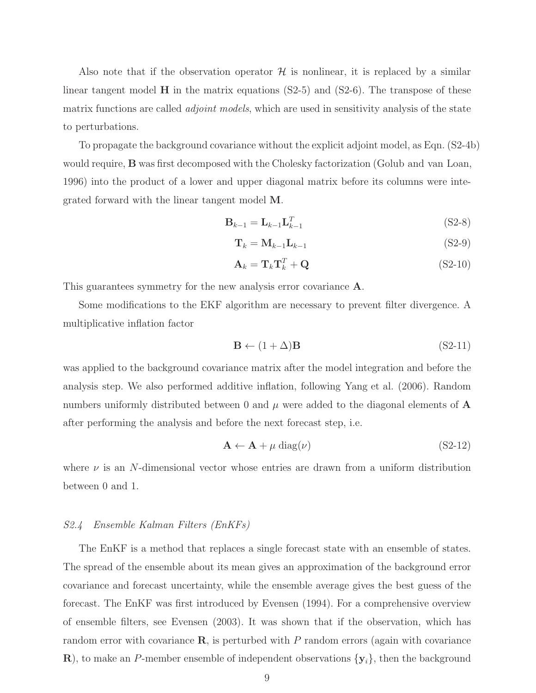Also note that if the observation operator  $\mathcal H$  is nonlinear, it is replaced by a similar linear tangent model  $\bf{H}$  in the matrix equations [\(S2-5\)](#page-6-0) and [\(S2-6\)](#page-6-2). The transpose of these matrix functions are called *adjoint models*, which are used in sensitivity analysis of the state to perturbations.

To propagate the background covariance without the explicit adjoint model, as Eqn. [\(S2-4b\)](#page-6-1) would require, B was first decomposed with the Cholesky factorization (Golub [and van Loan](#page-14-11), [1996](#page-14-11)) into the product of a lower and upper diagonal matrix before its columns were integrated forward with the linear tangent model M.

$$
\mathbf{B}_{k-1} = \mathbf{L}_{k-1} \mathbf{L}_{k-1}^T \tag{S2-8}
$$

$$
\mathbf{T}_k = \mathbf{M}_{k-1} \mathbf{L}_{k-1} \tag{S2-9}
$$

$$
\mathbf{A}_k = \mathbf{T}_k \mathbf{T}_k^T + \mathbf{Q} \tag{S2-10}
$$

This guarantees symmetry for the new analysis error covariance **A**.

Some modifications to the EKF algorithm are necessary to prevent filter divergence. A multiplicative inflation factor

$$
\mathbf{B} \leftarrow (1 + \Delta)\mathbf{B} \tag{S2-11}
$$

was applied to the background covariance matrix after the model integration and before the analysis step. We also performed additive inflation, following [Yang et al.](#page-14-10) [\(2006\)](#page-14-10). Random numbers uniformly distributed between 0 and  $\mu$  were added to the diagonal elements of **A** after performing the analysis and before the next forecast step, i.e.

$$
\mathbf{A} \leftarrow \mathbf{A} + \mu \operatorname{diag}(\nu) \tag{S2-12}
$$

where  $\nu$  is an N-dimensional vector whose entries are drawn from a uniform distribution between 0 and 1.

### S2.4 Ensemble Kalman Filters (EnKFs)

The EnKF is a method that replaces a single forecast state with an ensemble of states. The spread of the ensemble about its mean gives an approximation of the background error covariance and forecast uncertainty, while the ensemble average gives the best guess of the forecast. The EnKF was first introduced by [Evensen](#page-14-12) [\(1994](#page-14-12)). For a comprehensive overview of ensemble filters, see [Evensen](#page-14-13) [\(2003\)](#page-14-13). It was shown that if the observation, which has random error with covariance  $\bf{R}$ , is perturbed with P random errors (again with covariance **R**), to make an P-member ensemble of independent observations  $\{y_i\}$ , then the background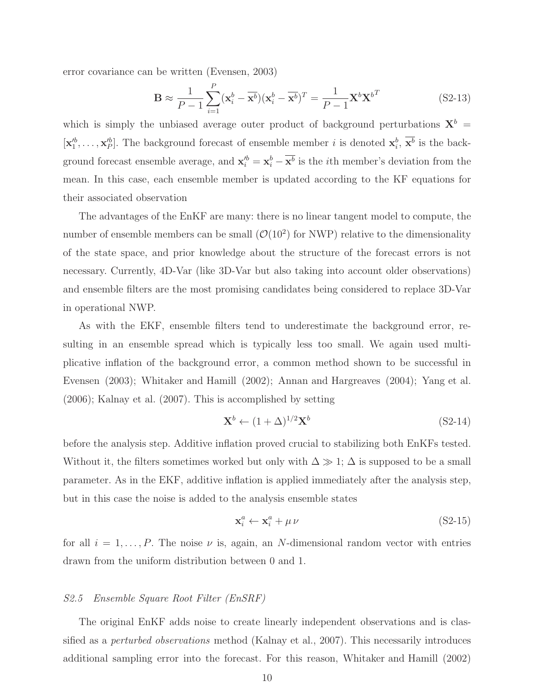error covariance can be written [\(Evensen, 2003\)](#page-14-13)

$$
\mathbf{B} \approx \frac{1}{P-1} \sum_{i=1}^{P} (\mathbf{x}_i^b - \overline{\mathbf{x}^b})(\mathbf{x}_i^b - \overline{\mathbf{x}^b})^T = \frac{1}{P-1} \mathbf{X}^b \mathbf{X}^{b^T}
$$
(S2-13)

which is simply the unbiased average outer product of background perturbations  $\mathbf{X}^b$  =  $[\mathbf{x}_1^{b}, \ldots, \mathbf{x}_p^{b}]$ . The background forecast of ensemble member *i* is denoted  $\mathbf{x}_i^b$ ,  $\overline{\mathbf{x}^b}$  is the background forecast ensemble average, and  $\mathbf{x}'_i = \mathbf{x}_i^b - \overline{\mathbf{x}^b}$  is the *i*th member's deviation from the mean. In this case, each ensemble member is updated according to the KF equations for their associated observation

The advantages of the EnKF are many: there is no linear tangent model to compute, the number of ensemble members can be small  $(\mathcal{O}(10^2))$  for NWP) relative to the dimensionality of the state space, and prior knowledge about the structure of the forecast errors is not necessary. Currently, 4D-Var (like 3D-Var but also taking into account older observations) and ensemble filters are the most promising candidates being considered to replace 3D-Var in operational NWP.

As with the EKF, ensemble filters tend to underestimate the background error, resulting in an ensemble spread which is typically less too small. We again used multiplicative inflation of the background error, a common method shown to be successful in [Evensen](#page-14-13) [\(2003\)](#page-14-13); [Whitaker and Hamill](#page-14-14) [\(2002](#page-14-14)); [Annan and Hargreaves](#page-14-15) [\(2004\)](#page-14-15); [Yang et al.](#page-14-10) [\(2006\)](#page-14-10); [Kalnay et al.](#page-14-16) [\(2007\)](#page-14-16). This is accomplished by setting

$$
\mathbf{X}^b \leftarrow (1+\Delta)^{1/2} \mathbf{X}^b \tag{S2-14}
$$

before the analysis step. Additive inflation proved crucial to stabilizing both EnKFs tested. Without it, the filters sometimes worked but only with  $\Delta \gg 1$ ;  $\Delta$  is supposed to be a small parameter. As in the EKF, additive inflation is applied immediately after the analysis step, but in this case the noise is added to the analysis ensemble states

$$
\mathbf{x}_i^a \leftarrow \mathbf{x}_i^a + \mu \,\nu \tag{S2-15}
$$

for all  $i = 1, \ldots, P$ . The noise  $\nu$  is, again, an N-dimensional random vector with entries drawn from the uniform distribution between 0 and 1.

# S2.5 Ensemble Square Root Filter (EnSRF)

The original EnKF adds noise to create linearly independent observations and is classified as a perturbed observations method [\(Kalnay et al., 2007\)](#page-14-16). This necessarily introduces additional sampling error into the forecast. For this reason, [Whitaker and Hamill](#page-14-14) [\(2002\)](#page-14-14)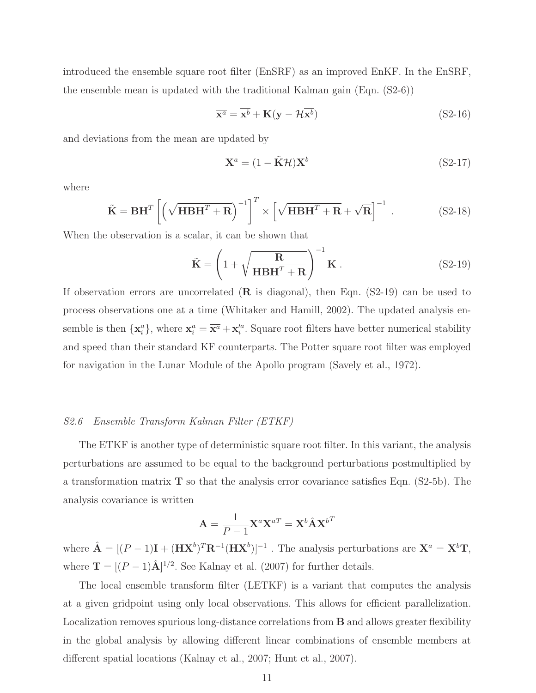introduced the ensemble square root filter (EnSRF) as an improved EnKF. In the EnSRF, the ensemble mean is updated with the traditional Kalman gain (Eqn. [\(S2-6\)](#page-6-2))

$$
\overline{\mathbf{x}^a} = \overline{\mathbf{x}^b} + \mathbf{K}(\mathbf{y} - \mathcal{H}\overline{\mathbf{x}^b})
$$
 (S2-16)

and deviations from the mean are updated by

<span id="page-10-0"></span>
$$
\mathbf{X}^a = (1 - \tilde{\mathbf{K}} \mathcal{H}) \mathbf{X}^b \tag{S2-17}
$$

where

$$
\tilde{\mathbf{K}} = \mathbf{B} \mathbf{H}^T \left[ \left( \sqrt{\mathbf{H} \mathbf{B} \mathbf{H}^T + \mathbf{R}} \right)^{-1} \right]^T \times \left[ \sqrt{\mathbf{H} \mathbf{B} \mathbf{H}^T + \mathbf{R}} + \sqrt{\mathbf{R}} \right]^{-1} . \tag{S2-18}
$$

When the observation is a scalar, it can be shown that

$$
\tilde{\mathbf{K}} = \left(1 + \sqrt{\frac{\mathbf{R}}{\mathbf{H}\mathbf{B}\mathbf{H}^T + \mathbf{R}}}\right)^{-1} \mathbf{K}.
$$
 (S2-19)

If observation errors are uncorrelated  $(R$  is diagonal), then Eqn.  $(S2-19)$  can be used to process observations one at a time [\(Whitaker and Hamill, 2002](#page-14-14)). The updated analysis ensemble is then  $\{\mathbf x_i^a\}$ , where  $\mathbf x_i^a = \overline{\mathbf x^a} + \mathbf x_i'^a$ . Square root filters have better numerical stability and speed than their standard KF counterparts. The Potter square root filter was employed for navigation in the Lunar Module of the Apollo program [\(Savely et al., 1972](#page-14-17)).

### S2.6 Ensemble Transform Kalman Filter (ETKF)

The ETKF is another type of deterministic square root filter. In this variant, the analysis perturbations are assumed to be equal to the background perturbations postmultiplied by a transformation matrix  $\bf{T}$  so that the analysis error covariance satisfies Eqn. [\(S2-5b\)](#page-6-3). The analysis covariance is written

$$
\mathbf{A} = \frac{1}{P - 1} \mathbf{X}^a \mathbf{X}^{aT} = \mathbf{X}^b \hat{\mathbf{A}} \mathbf{X}^{bT}
$$

where  $\hat{\mathbf{A}} = [(P-1)\mathbf{I} + (\mathbf{H}\mathbf{X}^b)^T \mathbf{R}^{-1} (\mathbf{H}\mathbf{X}^b)]^{-1}$ . The analysis perturbations are  $\mathbf{X}^a = \mathbf{X}^b \mathbf{T}$ , where  $\mathbf{T} = [(P-1)\hat{\mathbf{A}}]^{1/2}$ . See [Kalnay et al.](#page-14-16) [\(2007\)](#page-14-16) for further details.

The local ensemble transform filter (LETKF) is a variant that computes the analysis at a given gridpoint using only local observations. This allows for efficient parallelization. Localization removes spurious long-distance correlations from B and allows greater flexibility in the global analysis by allowing different linear combinations of ensemble members at different spatial locations [\(Kalnay et al.](#page-14-16), [2007;](#page-14-16) [Hunt et al.,](#page-14-18) [2007](#page-14-18)).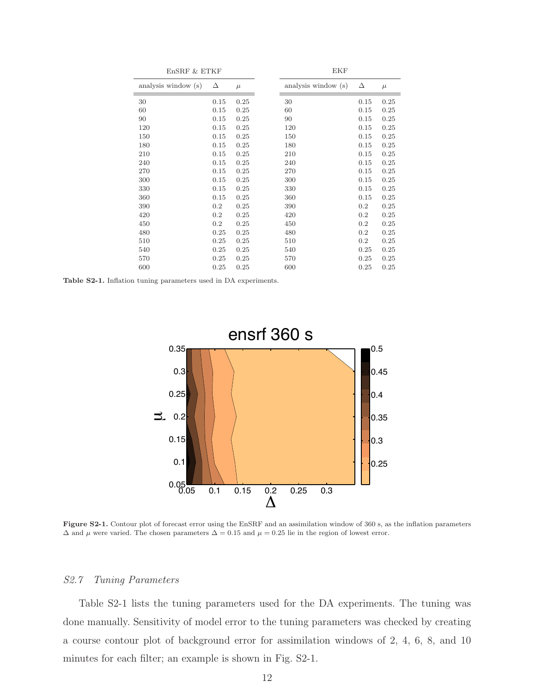<span id="page-11-0"></span>

| EnSRF & ETKF        |      | EKF   |  |                     |      |       |
|---------------------|------|-------|--|---------------------|------|-------|
| analysis window (s) | Δ    | $\mu$ |  | analysis window (s) | Δ    | $\mu$ |
| 30                  | 0.15 | 0.25  |  | 30                  | 0.15 | 0.25  |
| 60                  | 0.15 | 0.25  |  | 60                  | 0.15 | 0.25  |
| 90                  | 0.15 | 0.25  |  | 90                  | 0.15 | 0.25  |
| 120                 | 0.15 | 0.25  |  | 120                 | 0.15 | 0.25  |
| 150                 | 0.15 | 0.25  |  | 150                 | 0.15 | 0.25  |
| 180                 | 0.15 | 0.25  |  | 180                 | 0.15 | 0.25  |
| 210                 | 0.15 | 0.25  |  | 210                 | 0.15 | 0.25  |
| 240                 | 0.15 | 0.25  |  | 240                 | 0.15 | 0.25  |
| 270                 | 0.15 | 0.25  |  | 270                 | 0.15 | 0.25  |
| 300                 | 0.15 | 0.25  |  | 300                 | 0.15 | 0.25  |
| 330                 | 0.15 | 0.25  |  | 330                 | 0.15 | 0.25  |
| 360                 | 0.15 | 0.25  |  | 360                 | 0.15 | 0.25  |
| 390                 | 0.2  | 0.25  |  | 390                 | 0.2  | 0.25  |
| 420                 | 0.2  | 0.25  |  | 420                 | 0.2  | 0.25  |
| 450                 | 0.2  | 0.25  |  | 450                 | 0.2  | 0.25  |
| 480                 | 0.25 | 0.25  |  | 480                 | 0.2  | 0.25  |
| 510                 | 0.25 | 0.25  |  | 510                 | 0.2  | 0.25  |
| 540                 | 0.25 | 0.25  |  | 540                 | 0.25 | 0.25  |
| 570                 | 0.25 | 0.25  |  | 570                 | 0.25 | 0.25  |
| 600                 | 0.25 | 0.25  |  | 600                 | 0.25 | 0.25  |

<span id="page-11-1"></span>Table S2-1. Inflation tuning parameters used in DA experiments.



Figure S2-1. Contour plot of forecast error using the EnSRF and an assimilation window of 360 s, as the inflation parameters  $\Delta$  and  $\mu$  were varied. The chosen parameters  $\Delta = 0.15$  and  $\mu = 0.25$  lie in the region of lowest error.

#### S2.7 Tuning Parameters

Table [S2-1](#page-11-0) lists the tuning parameters used for the DA experiments. The tuning was done manually. Sensitivity of model error to the tuning parameters was checked by creating a course contour plot of background error for assimilation windows of 2, 4, 6, 8, and 10 minutes for each filter; an example is shown in Fig. [S2-1.](#page-11-1)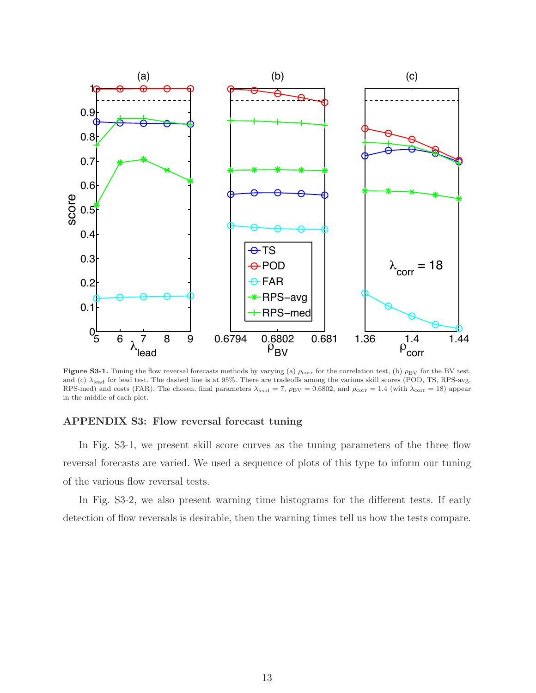<span id="page-12-0"></span>

Figure S3-1. Tuning the flow reversal forecasts methods by varying (a)  $\rho_{\rm corr}$  for the correlation test, (b)  $\rho_{\rm BV}$  for the BV test, and (c)  $\lambda_{\rm lead}$  for lead test. The dashed line is at 95%. There are tradeoffs among the various skill scores (POD, TS, RPS-avg, RPS-med) and costs (FAR). The chosen, final parameters  $\lambda_{\text{lead}} = 7$ ,  $\rho_{\text{BV}} = 0.6802$ , and  $\rho_{\text{corr}} = 1.4$  (with  $\lambda_{\text{corr}} = 18$ ) appear in the middle of each plot.

#### APPENDIX S3: Flow reversal forecast tuning

In Fig. [S3-1,](#page-12-0) we present skill score curves as the tuning parameters of the three flow reversal forecasts are varied. We used a sequence of plots of this type to inform our tuning of the various flow reversal tests.

In Fig. [S3-2,](#page-13-0) we also present warning time histograms for the different tests. If early detection of flow reversals is desirable, then the warning times tell us how the tests compare.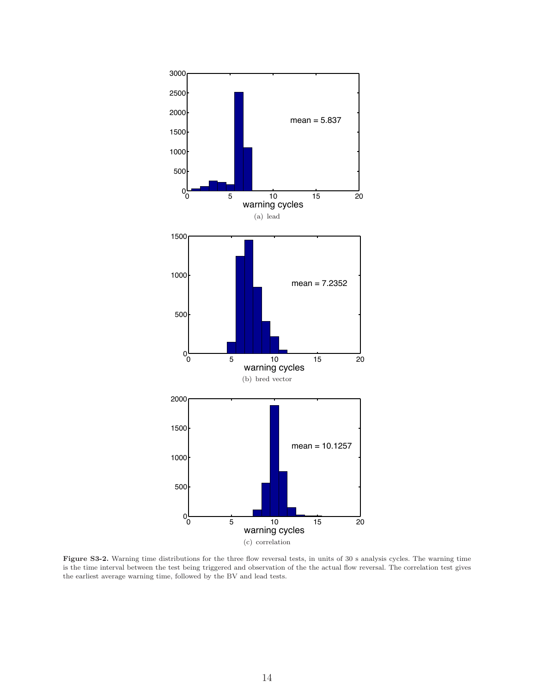<span id="page-13-0"></span>

Figure S3-2. Warning time distributions for the three flow reversal tests, in units of 30 s analysis cycles. The warning time is the time interval between the test being triggered and observation of the the actual flow reversal. The correlation test gives the earliest average warning time, followed by the BV and lead tests.